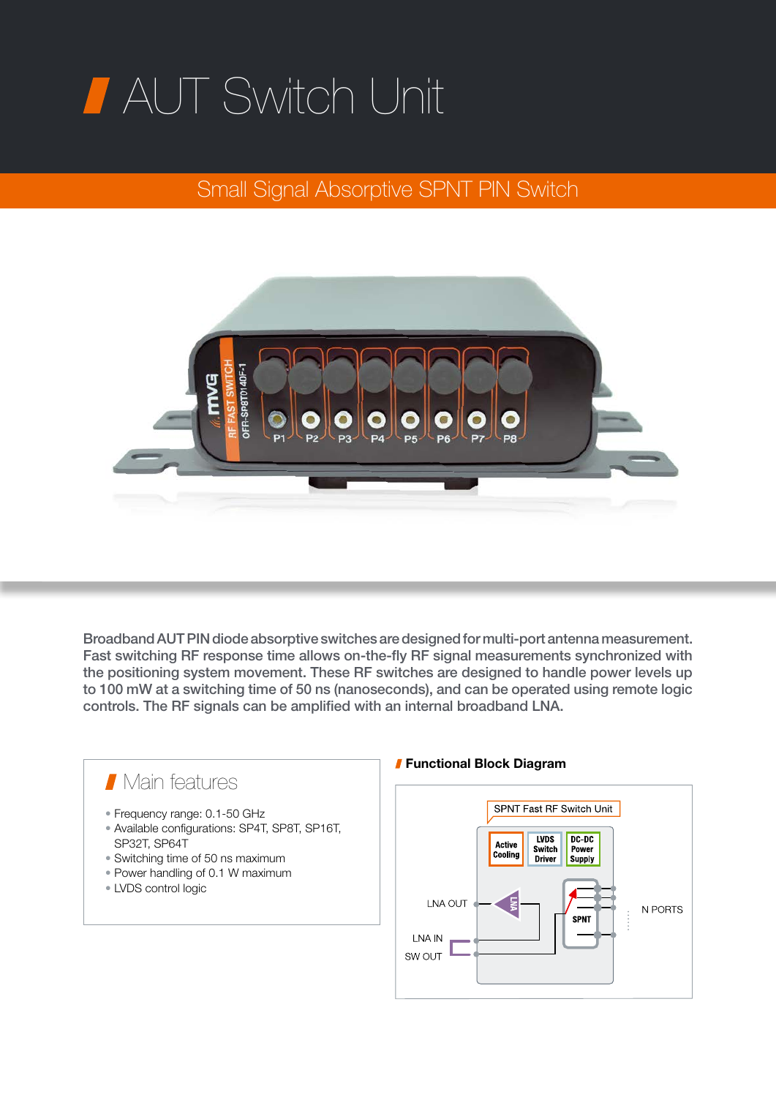## AUT Switch Unit

## Small Signal Absorptive SPNT PIN Switch



Broadband AUT PIN diode absorptive switches are designed for multi-port antenna measurement. Fast switching RF response time allows on-the-fly RF signal measurements synchronized with the positioning system movement. These RF switches are designed to handle power levels up to 100 mW at a switching time of 50 ns (nanoseconds), and can be operated using remote logic controls. The RF signals can be amplified with an internal broadband LNA.